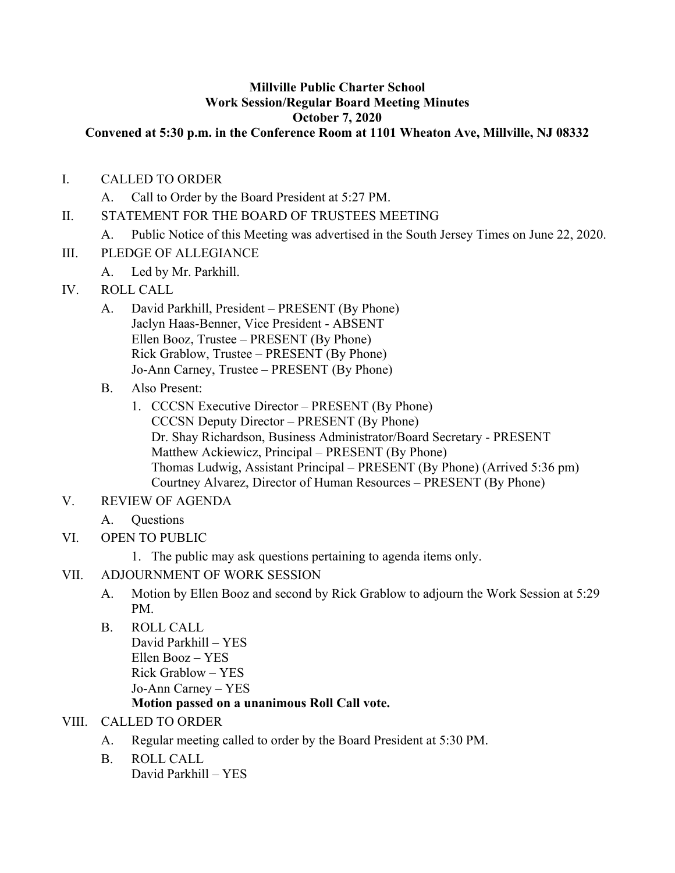## **Millville Public Charter School Work Session/Regular Board Meeting Minutes October 7, 2020**

### **Convened at 5:30 p.m. in the Conference Room at 1101 Wheaton Ave, Millville, NJ 08332**

- I. CALLED TO ORDER
	- A. Call to Order by the Board President at 5:27 PM.
- II. STATEMENT FOR THE BOARD OF TRUSTEES MEETING
	- A. Public Notice of this Meeting was advertised in the South Jersey Times on June 22, 2020.
- III. PLEDGE OF ALLEGIANCE
	- A. Led by Mr. Parkhill.
- IV. ROLL CALL
	- A. David Parkhill, President PRESENT (By Phone) Jaclyn Haas-Benner, Vice President - ABSENT Ellen Booz, Trustee – PRESENT (By Phone) Rick Grablow, Trustee – PRESENT (By Phone) Jo-Ann Carney, Trustee – PRESENT (By Phone)
	- B. Also Present:
		- 1. CCCSN Executive Director PRESENT (By Phone) CCCSN Deputy Director – PRESENT (By Phone) Dr. Shay Richardson, Business Administrator/Board Secretary - PRESENT Matthew Ackiewicz, Principal – PRESENT (By Phone) Thomas Ludwig, Assistant Principal – PRESENT (By Phone) (Arrived 5:36 pm) Courtney Alvarez, Director of Human Resources – PRESENT (By Phone)
- V. REVIEW OF AGENDA
	- A. Questions
- VI. OPEN TO PUBLIC
	- 1. The public may ask questions pertaining to agenda items only.

## VII. ADJOURNMENT OF WORK SESSION

- A. Motion by Ellen Booz and second by Rick Grablow to adjourn the Work Session at 5:29 PM.
- B. ROLL CALL

David Parkhill – YES Ellen Booz – YES Rick Grablow – YES Jo-Ann Carney – YES

## **Motion passed on a unanimous Roll Call vote.**

## VIII. CALLED TO ORDER

- A. Regular meeting called to order by the Board President at 5:30 PM.
- B. ROLL CALL David Parkhill – YES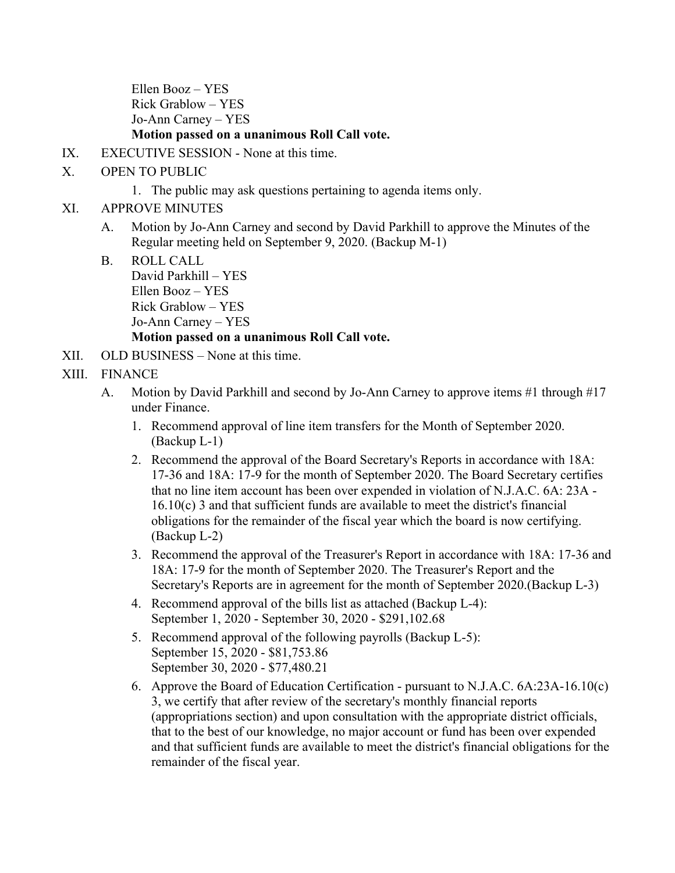Ellen Booz – YES Rick Grablow – YES Jo-Ann Carney – YES

## **Motion passed on a unanimous Roll Call vote.**

- IX. EXECUTIVE SESSION None at this time.
- X. OPEN TO PUBLIC
	- 1. The public may ask questions pertaining to agenda items only.
- XI. APPROVE MINUTES
	- A. Motion by Jo-Ann Carney and second by David Parkhill to approve the Minutes of the Regular meeting held on September 9, 2020. (Backup M-1)
	- B. ROLL CALL David Parkhill – YES Ellen Booz – YES Rick Grablow – YES Jo-Ann Carney – YES **Motion passed on a unanimous Roll Call vote.**
- XII. OLD BUSINESS None at this time.
- XIII. FINANCE
	- A. Motion by David Parkhill and second by Jo-Ann Carney to approve items #1 through #17 under Finance.
		- 1. Recommend approval of line item transfers for the Month of September 2020. (Backup L-1)
		- 2. Recommend the approval of the Board Secretary's Reports in accordance with 18A: 17-36 and 18A: 17-9 for the month of September 2020. The Board Secretary certifies that no line item account has been over expended in violation of N.J.A.C. 6A: 23A - 16.10(c) 3 and that sufficient funds are available to meet the district's financial obligations for the remainder of the fiscal year which the board is now certifying. (Backup L-2)
		- 3. Recommend the approval of the Treasurer's Report in accordance with 18A: 17-36 and 18A: 17-9 for the month of September 2020. The Treasurer's Report and the Secretary's Reports are in agreement for the month of September 2020.(Backup L-3)
		- 4. Recommend approval of the bills list as attached (Backup L-4): September 1, 2020 - September 30, 2020 - \$291,102.68
		- 5. Recommend approval of the following payrolls (Backup L-5): September 15, 2020 - \$81,753.86 September 30, 2020 - \$77,480.21
		- 6. Approve the Board of Education Certification pursuant to N.J.A.C. 6A:23A-16.10(c) 3, we certify that after review of the secretary's monthly financial reports (appropriations section) and upon consultation with the appropriate district officials, that to the best of our knowledge, no major account or fund has been over expended and that sufficient funds are available to meet the district's financial obligations for the remainder of the fiscal year.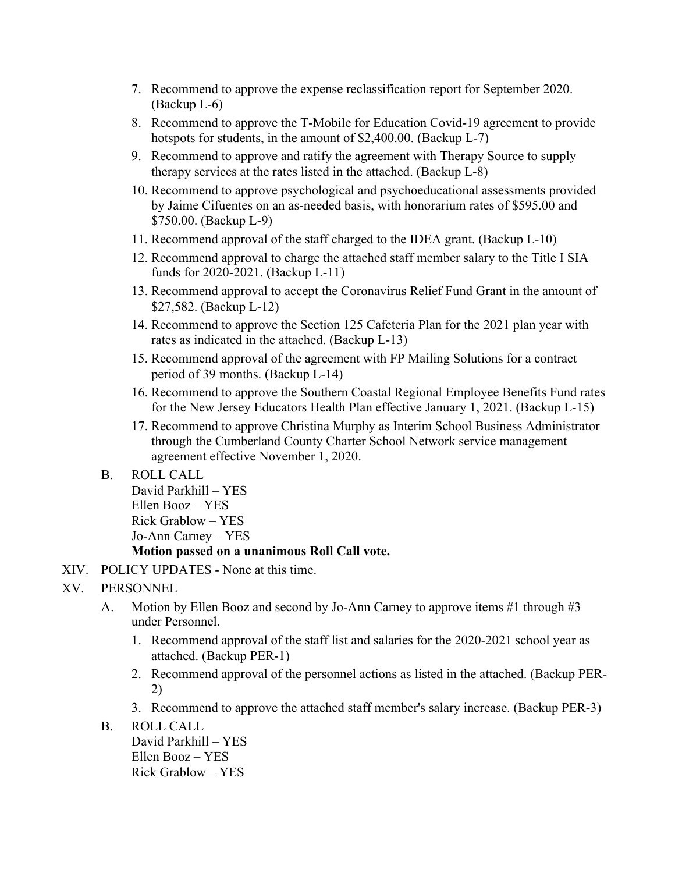- 7. Recommend to approve the expense reclassification report for September 2020. (Backup L-6)
- 8. Recommend to approve the T-Mobile for Education Covid-19 agreement to provide hotspots for students, in the amount of \$2,400.00. (Backup L-7)
- 9. Recommend to approve and ratify the agreement with Therapy Source to supply therapy services at the rates listed in the attached. (Backup L-8)
- 10. Recommend to approve psychological and psychoeducational assessments provided by Jaime Cifuentes on an as-needed basis, with honorarium rates of \$595.00 and \$750.00. (Backup L-9)
- 11. Recommend approval of the staff charged to the IDEA grant. (Backup L-10)
- 12. Recommend approval to charge the attached staff member salary to the Title I SIA funds for 2020-2021. (Backup L-11)
- 13. Recommend approval to accept the Coronavirus Relief Fund Grant in the amount of \$27,582. (Backup L-12)
- 14. Recommend to approve the Section 125 Cafeteria Plan for the 2021 plan year with rates as indicated in the attached. (Backup L-13)
- 15. Recommend approval of the agreement with FP Mailing Solutions for a contract period of 39 months. (Backup L-14)
- 16. Recommend to approve the Southern Coastal Regional Employee Benefits Fund rates for the New Jersey Educators Health Plan effective January 1, 2021. (Backup L-15)
- 17. Recommend to approve Christina Murphy as Interim School Business Administrator through the Cumberland County Charter School Network service management agreement effective November 1, 2020.
- B. ROLL CALL

David Parkhill – YES Ellen Booz – YES Rick Grablow – YES Jo-Ann Carney – YES

#### **Motion passed on a unanimous Roll Call vote.**

- XIV. POLICY UPDATES None at this time.
- XV. PERSONNEL
	- A. Motion by Ellen Booz and second by Jo-Ann Carney to approve items #1 through #3 under Personnel.
		- 1. Recommend approval of the staff list and salaries for the 2020-2021 school year as attached. (Backup PER-1)
		- 2. Recommend approval of the personnel actions as listed in the attached. (Backup PER-2)
		- 3. Recommend to approve the attached staff member's salary increase. (Backup PER-3)
	- B. ROLL CALL

David Parkhill – YES Ellen Booz – YES Rick Grablow – YES